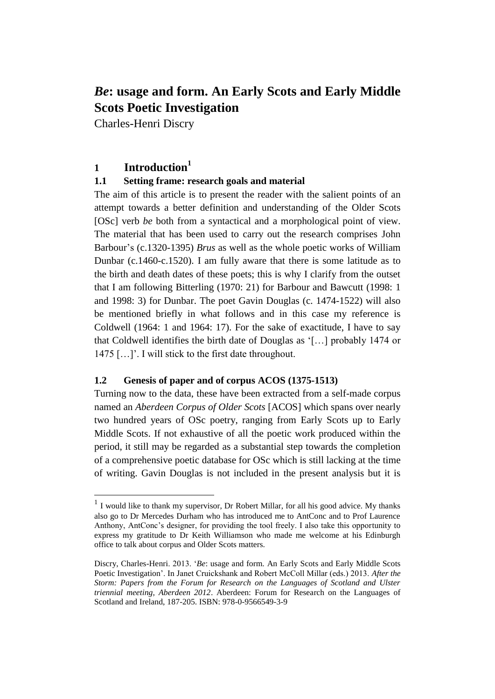Charles-Henri Discry

## **1 Introduction<sup>1</sup>**

## **1.1 Setting frame: research goals and material**

The aim of this article is to present the reader with the salient points of an attempt towards a better definition and understanding of the Older Scots [OSc] verb *be* both from a syntactical and a morphological point of view. The material that has been used to carry out the research comprises John Barbour's (c.1320-1395) *Brus* as well as the whole poetic works of William Dunbar (c.1460-c.1520). I am fully aware that there is some latitude as to the birth and death dates of these poets; this is why I clarify from the outset that I am following Bitterling (1970: 21) for Barbour and Bawcutt (1998: 1 and 1998: 3) for Dunbar. The poet Gavin Douglas (c. 1474-1522) will also be mentioned briefly in what follows and in this case my reference is Coldwell (1964: 1 and 1964: 17). For the sake of exactitude, I have to say that Coldwell identifies the birth date of Douglas as '[…] probably 1474 or 1475 […]'. I will stick to the first date throughout.

## **1.2 Genesis of paper and of corpus ACOS (1375-1513)**

Turning now to the data, these have been extracted from a self-made corpus named an *Aberdeen Corpus of Older Scots* [ACOS] which spans over nearly two hundred years of OSc poetry, ranging from Early Scots up to Early Middle Scots. If not exhaustive of all the poetic work produced within the period, it still may be regarded as a substantial step towards the completion of a comprehensive poetic database for OSc which is still lacking at the time of writing. Gavin Douglas is not included in the present analysis but it is

 1 I would like to thank my supervisor, Dr Robert Millar, for all his good advice. My thanks also go to Dr Mercedes Durham who has introduced me to AntConc and to Prof Laurence Anthony, AntConc's designer, for providing the tool freely. I also take this opportunity to express my gratitude to Dr Keith Williamson who made me welcome at his Edinburgh office to talk about corpus and Older Scots matters.

Discry, Charles-Henri. 2013. '*Be*: usage and form. An Early Scots and Early Middle Scots Poetic Investigation'. In Janet Cruickshank and Robert McColl Millar (eds.) 2013. *After the Storm: Papers from the Forum for Research on the Languages of Scotland and Ulster triennial meeting, Aberdeen 2012*. Aberdeen: Forum for Research on the Languages of Scotland and Ireland, 187-205. ISBN: 978-0-9566549-3-9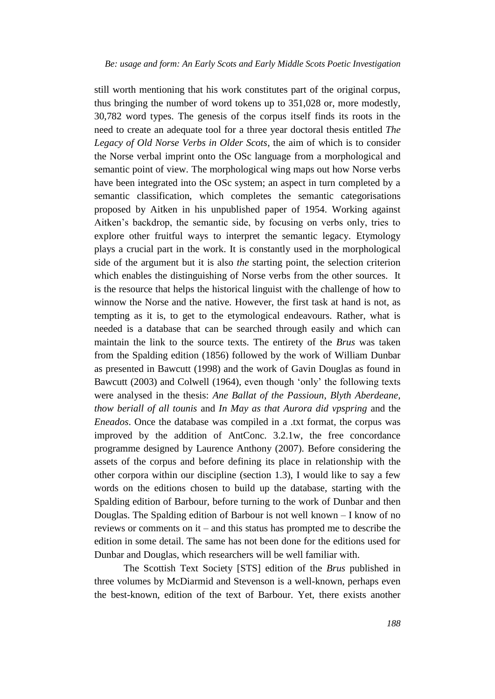still worth mentioning that his work constitutes part of the original corpus, thus bringing the number of word tokens up to 351,028 or, more modestly, 30,782 word types. The genesis of the corpus itself finds its roots in the need to create an adequate tool for a three year doctoral thesis entitled *The Legacy of Old Norse Verbs in Older Scots*, the aim of which is to consider the Norse verbal imprint onto the OSc language from a morphological and semantic point of view. The morphological wing maps out how Norse verbs have been integrated into the OSc system; an aspect in turn completed by a semantic classification, which completes the semantic categorisations proposed by Aitken in his unpublished paper of 1954. Working against Aitken's backdrop, the semantic side, by focusing on verbs only, tries to explore other fruitful ways to interpret the semantic legacy. Etymology plays a crucial part in the work. It is constantly used in the morphological side of the argument but it is also *the* starting point, the selection criterion which enables the distinguishing of Norse verbs from the other sources. It is the resource that helps the historical linguist with the challenge of how to winnow the Norse and the native. However, the first task at hand is not, as tempting as it is, to get to the etymological endeavours. Rather, what is needed is a database that can be searched through easily and which can maintain the link to the source texts. The entirety of the *Brus* was taken from the Spalding edition (1856) followed by the work of William Dunbar as presented in Bawcutt (1998) and the work of Gavin Douglas as found in Bawcutt (2003) and Colwell (1964), even though 'only' the following texts were analysed in the thesis: *Ane Ballat of the Passioun*, *Blyth Aberdeane, thow beriall of all tounis* and *In May as that Aurora did vpspring* and the *Eneados*. Once the database was compiled in a .txt format, the corpus was improved by the addition of AntConc. 3.2.1w, the free concordance programme designed by Laurence Anthony (2007). Before considering the assets of the corpus and before defining its place in relationship with the other corpora within our discipline (section 1.3), I would like to say a few words on the editions chosen to build up the database, starting with the Spalding edition of Barbour, before turning to the work of Dunbar and then Douglas. The Spalding edition of Barbour is not well known – I know of no reviews or comments on it – and this status has prompted me to describe the edition in some detail. The same has not been done for the editions used for Dunbar and Douglas, which researchers will be well familiar with.

The Scottish Text Society [STS] edition of the *Brus* published in three volumes by McDiarmid and Stevenson is a well-known, perhaps even the best-known, edition of the text of Barbour. Yet, there exists another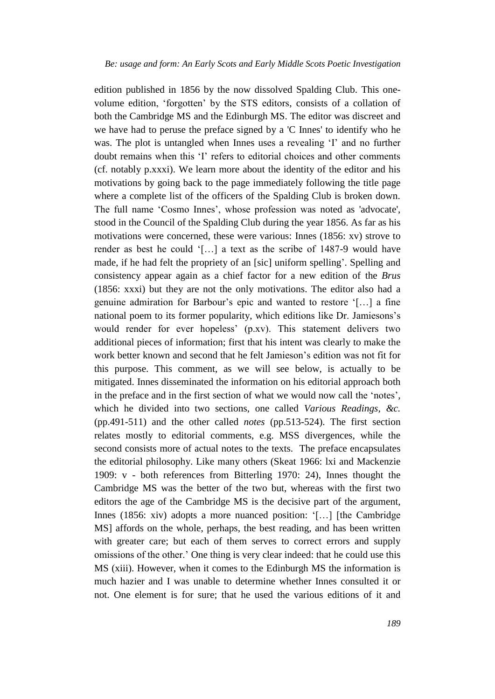edition published in 1856 by the now dissolved Spalding Club. This onevolume edition, 'forgotten' by the STS editors, consists of a collation of both the Cambridge MS and the Edinburgh MS. The editor was discreet and we have had to peruse the preface signed by a 'C Innes' to identify who he was. The plot is untangled when Innes uses a revealing 'I' and no further doubt remains when this 'I' refers to editorial choices and other comments (cf. notably p.xxxi). We learn more about the identity of the editor and his motivations by going back to the page immediately following the title page where a complete list of the officers of the Spalding Club is broken down. The full name 'Cosmo Innes', whose profession was noted as 'advocate', stood in the Council of the Spalding Club during the year 1856. As far as his motivations were concerned, these were various: Innes (1856: xv) strove to render as best he could '[…] a text as the scribe of 1487-9 would have made, if he had felt the propriety of an [sic] uniform spelling'. Spelling and consistency appear again as a chief factor for a new edition of the *Brus*  (1856: xxxi) but they are not the only motivations. The editor also had a genuine admiration for Barbour's epic and wanted to restore '[…] a fine national poem to its former popularity, which editions like Dr. Jamiesons's would render for ever hopeless' (p.xv). This statement delivers two additional pieces of information; first that his intent was clearly to make the work better known and second that he felt Jamieson's edition was not fit for this purpose. This comment, as we will see below, is actually to be mitigated. Innes disseminated the information on his editorial approach both in the preface and in the first section of what we would now call the 'notes', which he divided into two sections, one called *Various Readings, &c.*  (pp.491-511) and the other called *notes* (pp.513-524). The first section relates mostly to editorial comments, e.g. MSS divergences, while the second consists more of actual notes to the texts. The preface encapsulates the editorial philosophy. Like many others (Skeat 1966: lxi and Mackenzie 1909: v - both references from Bitterling 1970: 24), Innes thought the Cambridge MS was the better of the two but, whereas with the first two editors the age of the Cambridge MS is the decisive part of the argument, Innes (1856: xiv) adopts a more nuanced position: '[...] [the Cambridge MS] affords on the whole, perhaps, the best reading, and has been written with greater care; but each of them serves to correct errors and supply omissions of the other.' One thing is very clear indeed: that he could use this MS (xiii). However, when it comes to the Edinburgh MS the information is much hazier and I was unable to determine whether Innes consulted it or not. One element is for sure; that he used the various editions of it and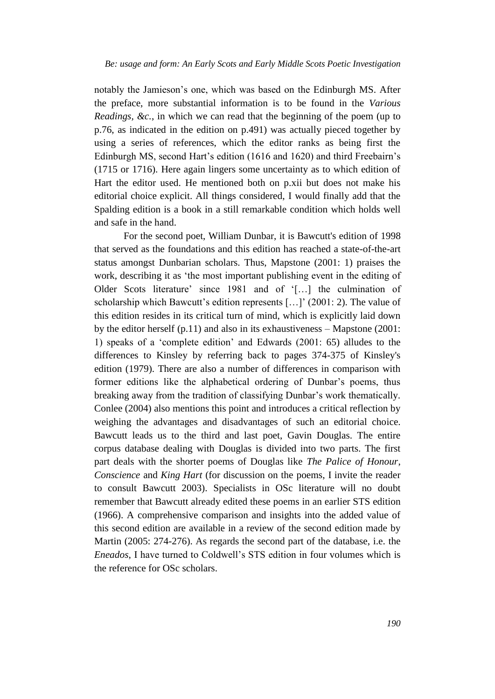notably the Jamieson's one, which was based on the Edinburgh MS. After the preface, more substantial information is to be found in the *Various Readings, &c.*, in which we can read that the beginning of the poem (up to p.76, as indicated in the edition on p.491) was actually pieced together by using a series of references, which the editor ranks as being first the Edinburgh MS, second Hart's edition (1616 and 1620) and third Freebairn's (1715 or 1716). Here again lingers some uncertainty as to which edition of Hart the editor used. He mentioned both on p.xii but does not make his editorial choice explicit. All things considered, I would finally add that the Spalding edition is a book in a still remarkable condition which holds well and safe in the hand.

For the second poet, William Dunbar, it is Bawcutt's edition of 1998 that served as the foundations and this edition has reached a state-of-the-art status amongst Dunbarian scholars. Thus, Mapstone (2001: 1) praises the work, describing it as 'the most important publishing event in the editing of Older Scots literature' since 1981 and of '[…] the culmination of scholarship which Bawcutt's edition represents [...]' (2001: 2). The value of this edition resides in its critical turn of mind, which is explicitly laid down by the editor herself (p.11) and also in its exhaustiveness – Mapstone (2001: 1) speaks of a 'complete edition' and Edwards (2001: 65) alludes to the differences to Kinsley by referring back to pages 374-375 of Kinsley's edition (1979). There are also a number of differences in comparison with former editions like the alphabetical ordering of Dunbar's poems, thus breaking away from the tradition of classifying Dunbar's work thematically. Conlee (2004) also mentions this point and introduces a critical reflection by weighing the advantages and disadvantages of such an editorial choice. Bawcutt leads us to the third and last poet, Gavin Douglas. The entire corpus database dealing with Douglas is divided into two parts. The first part deals with the shorter poems of Douglas like *The Palice of Honour*, *Conscience* and *King Hart* (for discussion on the poems, I invite the reader to consult Bawcutt 2003). Specialists in OSc literature will no doubt remember that Bawcutt already edited these poems in an earlier STS edition (1966). A comprehensive comparison and insights into the added value of this second edition are available in a review of the second edition made by Martin (2005: 274-276). As regards the second part of the database, i.e. the *Eneados*, I have turned to Coldwell's STS edition in four volumes which is the reference for OSc scholars.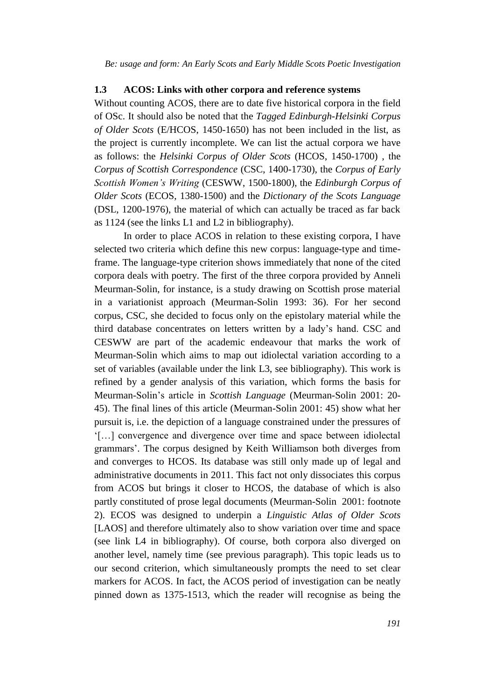#### **1.3 ACOS: Links with other corpora and reference systems**

Without counting ACOS, there are to date five historical corpora in the field of OSc. It should also be noted that the *Tagged Edinburgh-Helsinki Corpus of Older Scots* (E/HCOS, 1450-1650) has not been included in the list, as the project is currently incomplete. We can list the actual corpora we have as follows: the *Helsinki Corpus of Older Scots* (HCOS, 1450-1700) , the *Corpus of Scottish Correspondence* (CSC, 1400-1730), the *Corpus of Early Scottish Women's Writing* (CESWW, 1500-1800), the *Edinburgh Corpus of Older Scots* (ECOS, 1380-1500) and the *Dictionary of the Scots Language* (DSL, 1200-1976), the material of which can actually be traced as far back as 1124 (see the links L1 and L2 in bibliography).

In order to place ACOS in relation to these existing corpora, I have selected two criteria which define this new corpus: language-type and timeframe. The language-type criterion shows immediately that none of the cited corpora deals with poetry. The first of the three corpora provided by Anneli Meurman-Solin, for instance, is a study drawing on Scottish prose material in a variationist approach (Meurman-Solin 1993: 36). For her second corpus, CSC, she decided to focus only on the epistolary material while the third database concentrates on letters written by a lady's hand. CSC and CESWW are part of the academic endeavour that marks the work of Meurman-Solin which aims to map out idiolectal variation according to a set of variables (available under the link L3, see bibliography). This work is refined by a gender analysis of this variation, which forms the basis for Meurman-Solin's article in *Scottish Language* (Meurman-Solin 2001: 20- 45). The final lines of this article (Meurman-Solin 2001: 45) show what her pursuit is, i.e. the depiction of a language constrained under the pressures of '[…] convergence and divergence over time and space between idiolectal grammars'. The corpus designed by Keith Williamson both diverges from and converges to HCOS. Its database was still only made up of legal and administrative documents in 2011. This fact not only dissociates this corpus from ACOS but brings it closer to HCOS, the database of which is also partly constituted of prose legal documents (Meurman-Solin 2001: footnote 2). ECOS was designed to underpin a *Linguistic Atlas of Older Scots*  [LAOS] and therefore ultimately also to show variation over time and space (see link L4 in bibliography). Of course, both corpora also diverged on another level, namely time (see previous paragraph). This topic leads us to our second criterion, which simultaneously prompts the need to set clear markers for ACOS. In fact, the ACOS period of investigation can be neatly pinned down as 1375-1513, which the reader will recognise as being the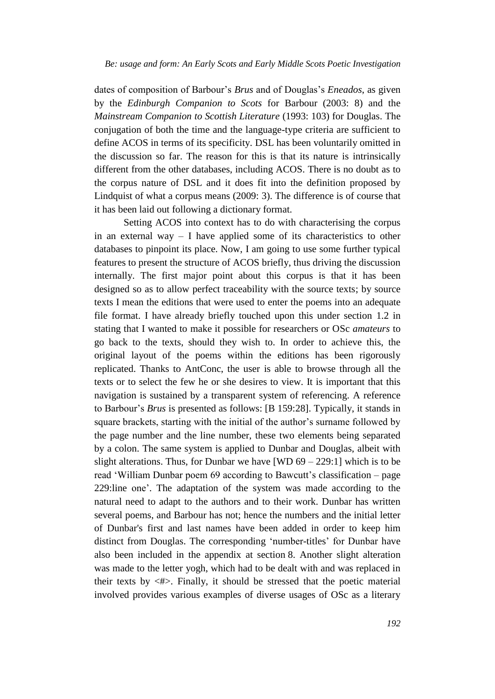dates of composition of Barbour's *Brus* and of Douglas's *Eneados*, as given by the *Edinburgh Companion to Scots* for Barbour (2003: 8) and the *Mainstream Companion to Scottish Literature* (1993: 103) for Douglas. The conjugation of both the time and the language-type criteria are sufficient to define ACOS in terms of its specificity. DSL has been voluntarily omitted in the discussion so far. The reason for this is that its nature is intrinsically different from the other databases, including ACOS. There is no doubt as to the corpus nature of DSL and it does fit into the definition proposed by Lindquist of what a corpus means (2009: 3). The difference is of course that it has been laid out following a dictionary format.

Setting ACOS into context has to do with characterising the corpus in an external way  $-$  I have applied some of its characteristics to other databases to pinpoint its place. Now, I am going to use some further typical features to present the structure of ACOS briefly, thus driving the discussion internally. The first major point about this corpus is that it has been designed so as to allow perfect traceability with the source texts; by source texts I mean the editions that were used to enter the poems into an adequate file format. I have already briefly touched upon this under section 1.2 in stating that I wanted to make it possible for researchers or OSc *amateurs* to go back to the texts, should they wish to. In order to achieve this, the original layout of the poems within the editions has been rigorously replicated. Thanks to AntConc, the user is able to browse through all the texts or to select the few he or she desires to view. It is important that this navigation is sustained by a transparent system of referencing. A reference to Barbour's *Brus* is presented as follows: [B 159:28]. Typically, it stands in square brackets, starting with the initial of the author's surname followed by the page number and the line number, these two elements being separated by a colon. The same system is applied to Dunbar and Douglas, albeit with slight alterations. Thus, for Dunbar we have  $[WD 69 - 229:1]$  which is to be read 'William Dunbar poem 69 according to Bawcutt's classification – page 229:line one'. The adaptation of the system was made according to the natural need to adapt to the authors and to their work. Dunbar has written several poems, and Barbour has not; hence the numbers and the initial letter of Dunbar's first and last names have been added in order to keep him distinct from Douglas. The corresponding 'number-titles' for Dunbar have also been included in the appendix at section 8. Another slight alteration was made to the letter yogh, which had to be dealt with and was replaced in their texts by  $\langle # \rangle$ . Finally, it should be stressed that the poetic material involved provides various examples of diverse usages of OSc as a literary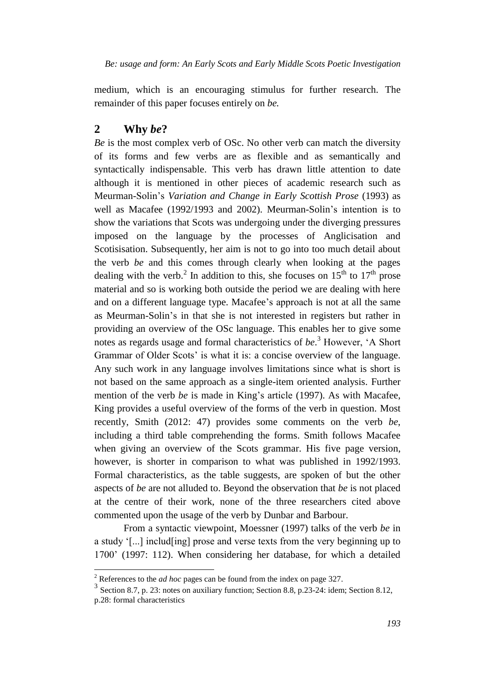medium, which is an encouraging stimulus for further research. The remainder of this paper focuses entirely on *be.*

#### **2 Why** *be***?**

 $\overline{a}$ 

*Be* is the most complex verb of OSc. No other verb can match the diversity of its forms and few verbs are as flexible and as semantically and syntactically indispensable. This verb has drawn little attention to date although it is mentioned in other pieces of academic research such as Meurman-Solin's *Variation and Change in Early Scottish Prose* (1993) as well as Macafee (1992/1993 and 2002). Meurman-Solin's intention is to show the variations that Scots was undergoing under the diverging pressures imposed on the language by the processes of Anglicisation and Scotisisation. Subsequently, her aim is not to go into too much detail about the verb *be* and this comes through clearly when looking at the pages dealing with the verb.<sup>2</sup> In addition to this, she focuses on  $15<sup>th</sup>$  to  $17<sup>th</sup>$  prose material and so is working both outside the period we are dealing with here and on a different language type. Macafee's approach is not at all the same as Meurman-Solin's in that she is not interested in registers but rather in providing an overview of the OSc language. This enables her to give some notes as regards usage and formal characteristics of *be*. <sup>3</sup> However, 'A Short Grammar of Older Scots' is what it is: a concise overview of the language. Any such work in any language involves limitations since what is short is not based on the same approach as a single-item oriented analysis. Further mention of the verb *be* is made in King's article (1997). As with Macafee, King provides a useful overview of the forms of the verb in question. Most recently, Smith (2012: 47) provides some comments on the verb *be*, including a third table comprehending the forms. Smith follows Macafee when giving an overview of the Scots grammar. His five page version, however, is shorter in comparison to what was published in 1992/1993. Formal characteristics, as the table suggests, are spoken of but the other aspects of *be* are not alluded to. Beyond the observation that *be* is not placed at the centre of their work, none of the three researchers cited above commented upon the usage of the verb by Dunbar and Barbour.

From a syntactic viewpoint, Moessner (1997) talks of the verb *be* in a study '[...] includ[ing] prose and verse texts from the very beginning up to 1700' (1997: 112). When considering her database, for which a detailed

<sup>2</sup> References to the *ad hoc* pages can be found from the index on page 327.

<sup>&</sup>lt;sup>3</sup> Section 8.7, p. 23: notes on auxiliary function; Section 8.8, p. 23-24: idem; Section 8.12, p.28: formal characteristics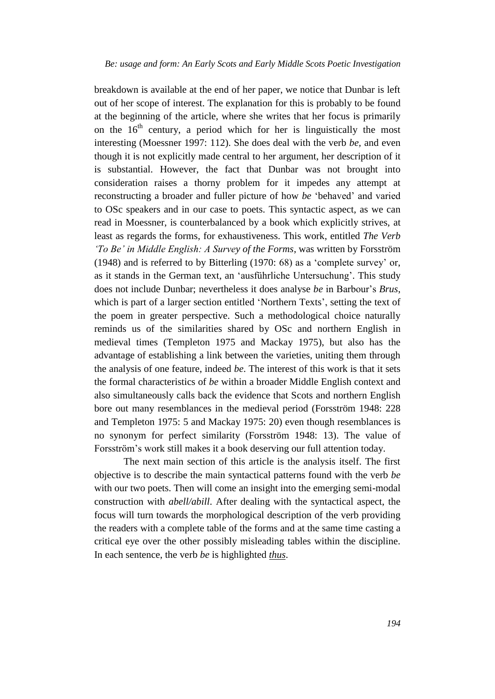breakdown is available at the end of her paper, we notice that Dunbar is left out of her scope of interest. The explanation for this is probably to be found at the beginning of the article, where she writes that her focus is primarily on the  $16<sup>th</sup>$  century, a period which for her is linguistically the most interesting (Moessner 1997: 112). She does deal with the verb *be,* and even though it is not explicitly made central to her argument, her description of it is substantial. However, the fact that Dunbar was not brought into consideration raises a thorny problem for it impedes any attempt at reconstructing a broader and fuller picture of how *be* 'behaved' and varied to OSc speakers and in our case to poets. This syntactic aspect, as we can read in Moessner, is counterbalanced by a book which explicitly strives, at least as regards the forms, for exhaustiveness. This work, entitled *The Verb 'To Be' in Middle English: A Survey of the Forms*, was written by Forsström (1948) and is referred to by Bitterling (1970: 68) as a 'complete survey' or, as it stands in the German text, an 'ausführliche Untersuchung'. This study does not include Dunbar; nevertheless it does analyse *be* in Barbour's *Brus*, which is part of a larger section entitled 'Northern Texts', setting the text of the poem in greater perspective. Such a methodological choice naturally reminds us of the similarities shared by OSc and northern English in medieval times (Templeton 1975 and Mackay 1975), but also has the advantage of establishing a link between the varieties, uniting them through the analysis of one feature, indeed *be*. The interest of this work is that it sets the formal characteristics of *be* within a broader Middle English context and also simultaneously calls back the evidence that Scots and northern English bore out many resemblances in the medieval period (Forsström 1948: 228 and Templeton 1975: 5 and Mackay 1975: 20) even though resemblances is no synonym for perfect similarity (Forsström 1948: 13). The value of Forsström's work still makes it a book deserving our full attention today.

The next main section of this article is the analysis itself. The first objective is to describe the main syntactical patterns found with the verb *be*  with our two poets. Then will come an insight into the emerging semi-modal construction with *abell/abill*. After dealing with the syntactical aspect, the focus will turn towards the morphological description of the verb providing the readers with a complete table of the forms and at the same time casting a critical eye over the other possibly misleading tables within the discipline. In each sentence, the verb *be* is highlighted *thus*.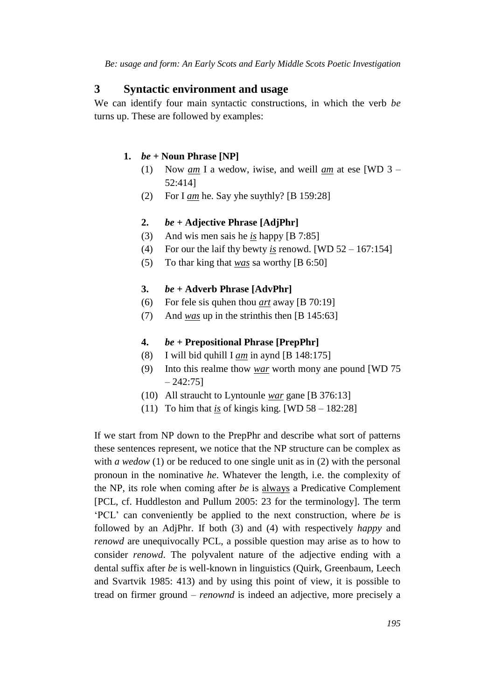#### **3 Syntactic environment and usage**

We can identify four main syntactic constructions, in which the verb *be*  turns up. These are followed by examples:

#### **1.** *be +* **Noun Phrase [NP]**

- (1) Now *am* I a wedow, iwise, and weill *am* at ese [WD 3 52:414]
- (2) For I *am* he. Say yhe suythly? [B 159:28]

#### **2.** *be +* **Adjective Phrase [AdjPhr]**

- (3) And wis men sais he *is* happy [B 7:85]
- (4) For our the laif thy bewty *is* renowd. [WD 52 167:154]
- (5) To thar king that *was* sa worthy [B 6:50]

#### **3.** *be +* **Adverb Phrase [AdvPhr]**

- (6) For fele sis quhen thou *art* away [B 70:19]
- (7) And *was* up in the strinthis then [B 145:63]

#### **4.** *be +* **Prepositional Phrase [PrepPhr]**

- (8) I will bid quhill I *am* in aynd [B 148:175]
- (9) Into this realme thow *war* worth mony ane pound [WD 75  $-242:751$
- (10) All straucht to Lyntounle *war* gane [B 376:13]
- (11) To him that *is* of kingis king. [WD  $58 182:28$ ]

If we start from NP down to the PrepPhr and describe what sort of patterns these sentences represent, we notice that the NP structure can be complex as with *a wedow* (1) or be reduced to one single unit as in (2) with the personal pronoun in the nominative *he*. Whatever the length, i.e. the complexity of the NP, its role when coming after *be* is always a Predicative Complement [PCL, cf. Huddleston and Pullum 2005: 23 for the terminology]. The term 'PCL' can conveniently be applied to the next construction, where *be* is followed by an AdjPhr. If both (3) and (4) with respectively *happy* and *renowd* are unequivocally PCL, a possible question may arise as to how to consider *renowd*. The polyvalent nature of the adjective ending with a dental suffix after *be* is well-known in linguistics (Quirk, Greenbaum, Leech and Svartvik 1985: 413) and by using this point of view, it is possible to tread on firmer ground – *renownd* is indeed an adjective, more precisely a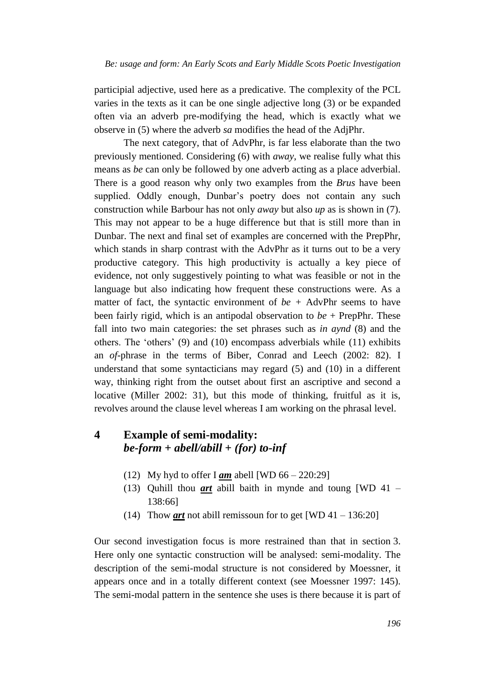participial adjective, used here as a predicative. The complexity of the PCL varies in the texts as it can be one single adjective long (3) or be expanded often via an adverb pre-modifying the head, which is exactly what we observe in (5) where the adverb *sa* modifies the head of the AdjPhr.

The next category, that of AdvPhr, is far less elaborate than the two previously mentioned. Considering (6) with *away*, we realise fully what this means as *be* can only be followed by one adverb acting as a place adverbial. There is a good reason why only two examples from the *Brus* have been supplied. Oddly enough, Dunbar's poetry does not contain any such construction while Barbour has not only *away* but also *up* as is shown in (7). This may not appear to be a huge difference but that is still more than in Dunbar. The next and final set of examples are concerned with the PrepPhr, which stands in sharp contrast with the AdvPhr as it turns out to be a very productive category. This high productivity is actually a key piece of evidence, not only suggestively pointing to what was feasible or not in the language but also indicating how frequent these constructions were. As a matter of fact, the syntactic environment of *be +* AdvPhr seems to have been fairly rigid, which is an antipodal observation to *be* + PrepPhr. These fall into two main categories: the set phrases such as *in aynd* (8) and the others. The 'others' (9) and (10) encompass adverbials while (11) exhibits an *of-*phrase in the terms of Biber, Conrad and Leech (2002: 82). I understand that some syntacticians may regard (5) and (10) in a different way, thinking right from the outset about first an ascriptive and second a locative (Miller 2002: 31), but this mode of thinking, fruitful as it is, revolves around the clause level whereas I am working on the phrasal level.

## **4 Example of semi-modality:**  *be-form* **+** *abell/abill* **+** *(for) to-inf*

- (12) My hyd to offer I *am* abell [WD 66 220:29]
- (13) Quhill thou *art* abill baith in mynde and toung [WD 41 138:66]
- (14) Thow *art* not abill remissoun for to get [WD  $41 136:20$ ]

Our second investigation focus is more restrained than that in section 3. Here only one syntactic construction will be analysed: semi-modality. The description of the semi-modal structure is not considered by Moessner, it appears once and in a totally different context (see Moessner 1997: 145). The semi-modal pattern in the sentence she uses is there because it is part of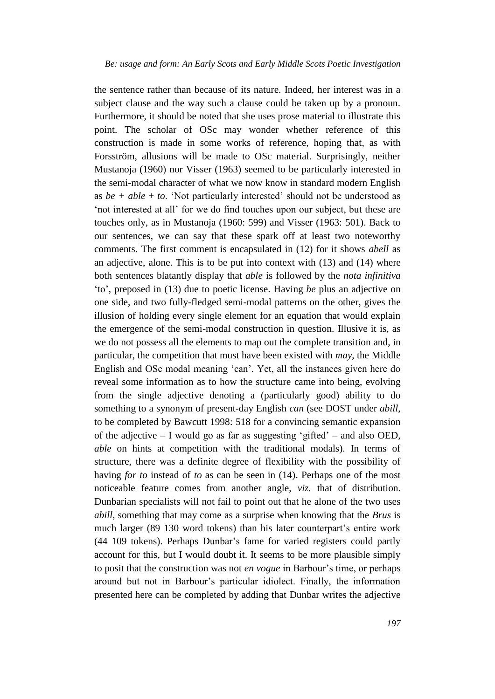the sentence rather than because of its nature. Indeed, her interest was in a subject clause and the way such a clause could be taken up by a pronoun. Furthermore, it should be noted that she uses prose material to illustrate this point. The scholar of OSc may wonder whether reference of this construction is made in some works of reference, hoping that, as with Forsström, allusions will be made to OSc material. Surprisingly, neither Mustanoja (1960) nor Visser (1963) seemed to be particularly interested in the semi-modal character of what we now know in standard modern English as  $be + able + to$ . 'Not particularly interested' should not be understood as 'not interested at all' for we do find touches upon our subject, but these are touches only, as in Mustanoja (1960: 599) and Visser (1963: 501). Back to our sentences, we can say that these spark off at least two noteworthy comments. The first comment is encapsulated in (12) for it shows *abell* as an adjective, alone. This is to be put into context with (13) and (14) where both sentences blatantly display that *able* is followed by the *nota infinitiva*  'to', preposed in (13) due to poetic license. Having *be* plus an adjective on one side, and two fully-fledged semi-modal patterns on the other, gives the illusion of holding every single element for an equation that would explain the emergence of the semi-modal construction in question. Illusive it is, as we do not possess all the elements to map out the complete transition and, in particular, the competition that must have been existed with *may*, the Middle English and OSc modal meaning 'can'. Yet, all the instances given here do reveal some information as to how the structure came into being, evolving from the single adjective denoting a (particularly good) ability to do something to a synonym of present-day English *can* (see DOST under *abill*, to be completed by Bawcutt 1998: 518 for a convincing semantic expansion of the adjective – I would go as far as suggesting 'gifted' – and also OED, *able* on hints at competition with the traditional modals). In terms of structure, there was a definite degree of flexibility with the possibility of having *for to* instead of *to* as can be seen in (14). Perhaps one of the most noticeable feature comes from another angle, *viz.* that of distribution. Dunbarian specialists will not fail to point out that he alone of the two uses *abill*, something that may come as a surprise when knowing that the *Brus* is much larger (89 130 word tokens) than his later counterpart's entire work (44 109 tokens). Perhaps Dunbar's fame for varied registers could partly account for this, but I would doubt it. It seems to be more plausible simply to posit that the construction was not *en vogue* in Barbour's time, or perhaps around but not in Barbour's particular idiolect. Finally, the information presented here can be completed by adding that Dunbar writes the adjective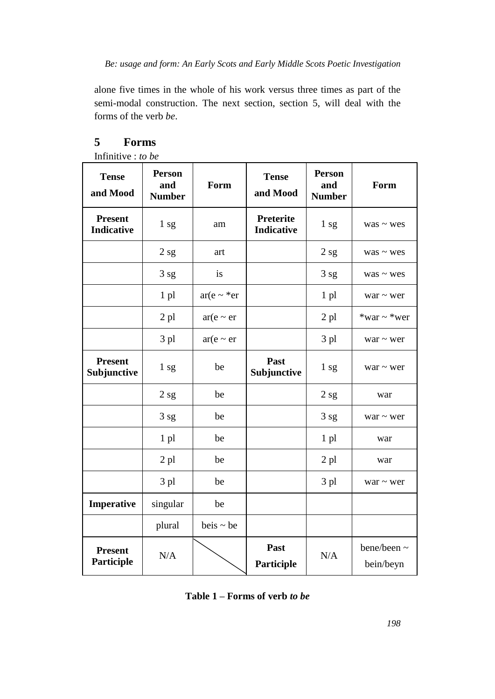alone five times in the whole of his work versus three times as part of the semi-modal construction. The next section, section 5, will deal with the forms of the verb *be*.

| 11111111111110 v v v v v<br><b>Tense</b><br>and Mood | <b>Person</b><br>and<br><b>Number</b> | Form                | <b>Tense</b><br>and Mood              | <b>Person</b><br>and<br><b>Number</b> | Form                     |
|------------------------------------------------------|---------------------------------------|---------------------|---------------------------------------|---------------------------------------|--------------------------|
| <b>Present</b><br><b>Indicative</b>                  | 1 <sub>sg</sub>                       | am                  | <b>Preterite</b><br><b>Indicative</b> | 1 <sub>sg</sub>                       | $was \sim$ wes           |
|                                                      | 2sg                                   | art                 |                                       | 2sg                                   | $was \sim$ wes           |
|                                                      | 3 sg                                  | is                  |                                       | 3 sg                                  | $was \sim$ wes           |
|                                                      | 1 pl                                  | $ar(e \sim \ast er$ |                                       | 1 pl                                  | war $\sim$ wer           |
|                                                      | $2$ pl                                | $ar(e \sim er$      |                                       | $2$ pl                                | *war ~ *wer              |
|                                                      | 3 pl                                  | $ar(e \sim er$      |                                       | 3 pl                                  | war $\sim$ wer           |
| <b>Present</b><br>Subjunctive                        | 1 sg                                  | be                  | Past<br>Subjunctive                   | 1 sg                                  | $war \sim wer$           |
|                                                      | 2sg                                   | be                  |                                       | 2sg                                   | war                      |
|                                                      | 3 sg                                  | be                  |                                       | 3 sg                                  | $war \sim wer$           |
|                                                      | 1 pl                                  | be                  |                                       | 1 pl                                  | war                      |
|                                                      | $2$ pl                                | be                  |                                       | $2$ pl                                | war                      |
|                                                      | 3 pl                                  | be                  |                                       | 3 pl                                  | $war \sim wer$           |
| Imperative                                           | singular                              | be                  |                                       |                                       |                          |
|                                                      | plural                                | $beis \sim be$      |                                       |                                       |                          |
| <b>Present</b><br>Participle                         | N/A                                   |                     | Past<br>Participle                    | N/A                                   | bene/been ~<br>bein/beyn |

### **5 Forms**

Infinitive : *to be*

**Table 1 – Forms of verb** *to be*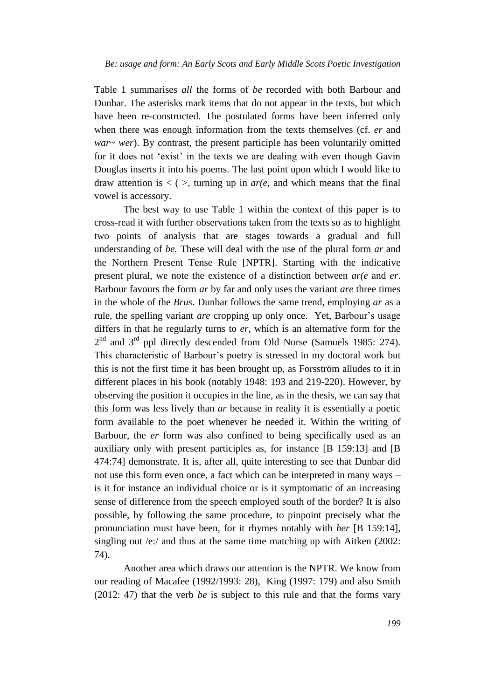Table 1 summarises *all* the forms of *be* recorded with both Barbour and Dunbar. The asterisks mark items that do not appear in the texts, but which have been re-constructed. The postulated forms have been inferred only when there was enough information from the texts themselves (cf. *er* and *war~ wer*). By contrast, the present participle has been voluntarily omitted for it does not 'exist' in the texts we are dealing with even though Gavin Douglas inserts it into his poems. The last point upon which I would like to draw attention is  $\langle \rangle$ , turning up in *ar(e, and which means that the final* vowel is accessory.

The best way to use Table 1 within the context of this paper is to cross-read it with further observations taken from the texts so as to highlight two points of analysis that are stages towards a gradual and full understanding of *be.* These will deal with the use of the plural form *ar* and the Northern Present Tense Rule [NPTR]. Starting with the indicative present plural, we note the existence of a distinction between *ar(e* and *er*. Barbour favours the form *ar* by far and only uses the variant *are* three times in the whole of the *Brus*. Dunbar follows the same trend, employing *ar* as a rule, the spelling variant *are* cropping up only once. Yet, Barbour's usage differs in that he regularly turns to *er*, which is an alternative form for the  $2<sup>nd</sup>$  and  $3<sup>rd</sup>$  ppl directly descended from Old Norse (Samuels 1985: 274). This characteristic of Barbour's poetry is stressed in my doctoral work but this is not the first time it has been brought up, as Forsström alludes to it in different places in his book (notably 1948: 193 and 219-220). However, by observing the position it occupies in the line, as in the thesis, we can say that this form was less lively than *ar* because in reality it is essentially a poetic form available to the poet whenever he needed it. Within the writing of Barbour, the *er* form was also confined to being specifically used as an auxiliary only with present participles as, for instance [B 159:13] and [B 474:74] demonstrate. It is, after all, quite interesting to see that Dunbar did not use this form even once, a fact which can be interpreted in many ways – is it for instance an individual choice or is it symptomatic of an increasing sense of difference from the speech employed south of the border? It is also possible, by following the same procedure, to pinpoint precisely what the pronunciation must have been, for it rhymes notably with *her* [B 159:14], singling out /e:/ and thus at the same time matching up with Aitken (2002: 74).

Another area which draws our attention is the NPTR. We know from our reading of Macafee (1992/1993: 28), King (1997: 179) and also Smith (2012: 47) that the verb *be* is subject to this rule and that the forms vary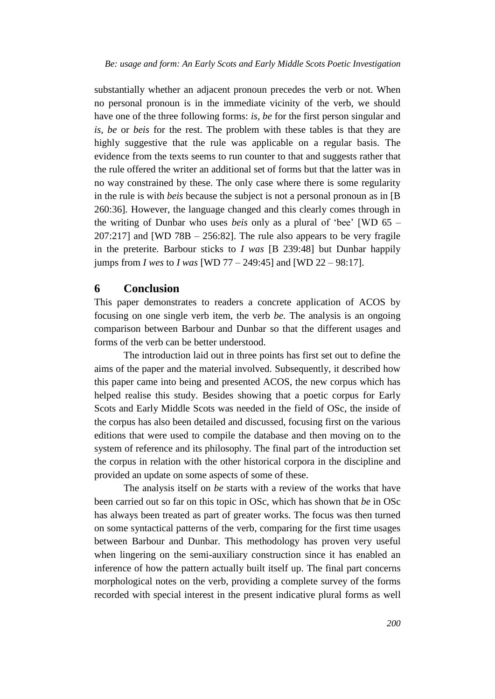substantially whether an adjacent pronoun precedes the verb or not. When no personal pronoun is in the immediate vicinity of the verb, we should have one of the three following forms: *is, be* for the first person singular and *is, be* or *beis* for the rest. The problem with these tables is that they are highly suggestive that the rule was applicable on a regular basis. The evidence from the texts seems to run counter to that and suggests rather that the rule offered the writer an additional set of forms but that the latter was in no way constrained by these. The only case where there is some regularity in the rule is with *beis* because the subject is not a personal pronoun as in [B 260:36]*.* However, the language changed and this clearly comes through in the writing of Dunbar who uses *beis* only as a plural of 'bee' [WD 65 –  $207:217$ ] and [WD 78B  $- 256:82$ ]. The rule also appears to be very fragile in the preterite. Barbour sticks to *I was* [B 239:48] but Dunbar happily jumps from *I wes* to *I was* [WD 77 – 249:45] and [WD 22 – 98:17].

### **6 Conclusion**

This paper demonstrates to readers a concrete application of ACOS by focusing on one single verb item, the verb *be.* The analysis is an ongoing comparison between Barbour and Dunbar so that the different usages and forms of the verb can be better understood.

The introduction laid out in three points has first set out to define the aims of the paper and the material involved. Subsequently, it described how this paper came into being and presented ACOS, the new corpus which has helped realise this study. Besides showing that a poetic corpus for Early Scots and Early Middle Scots was needed in the field of OSc, the inside of the corpus has also been detailed and discussed, focusing first on the various editions that were used to compile the database and then moving on to the system of reference and its philosophy. The final part of the introduction set the corpus in relation with the other historical corpora in the discipline and provided an update on some aspects of some of these.

The analysis itself on *be* starts with a review of the works that have been carried out so far on this topic in OSc, which has shown that *be* in OSc has always been treated as part of greater works. The focus was then turned on some syntactical patterns of the verb, comparing for the first time usages between Barbour and Dunbar. This methodology has proven very useful when lingering on the semi-auxiliary construction since it has enabled an inference of how the pattern actually built itself up. The final part concerns morphological notes on the verb, providing a complete survey of the forms recorded with special interest in the present indicative plural forms as well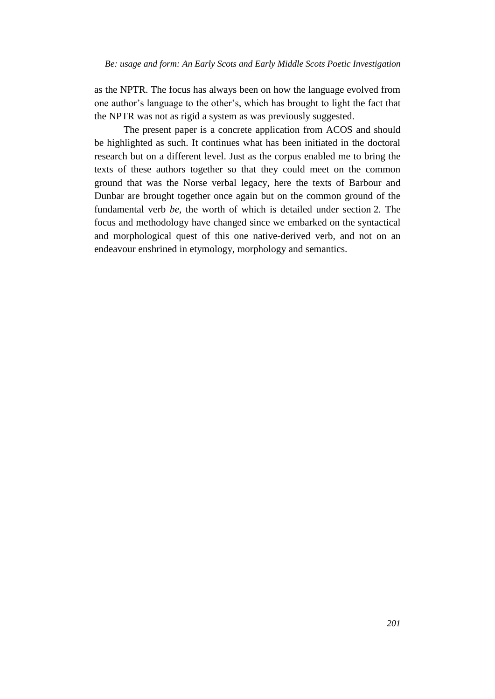as the NPTR. The focus has always been on how the language evolved from one author's language to the other's, which has brought to light the fact that the NPTR was not as rigid a system as was previously suggested.

The present paper is a concrete application from ACOS and should be highlighted as such. It continues what has been initiated in the doctoral research but on a different level. Just as the corpus enabled me to bring the texts of these authors together so that they could meet on the common ground that was the Norse verbal legacy, here the texts of Barbour and Dunbar are brought together once again but on the common ground of the fundamental verb *be,* the worth of which is detailed under section 2*.* The focus and methodology have changed since we embarked on the syntactical and morphological quest of this one native-derived verb, and not on an endeavour enshrined in etymology, morphology and semantics.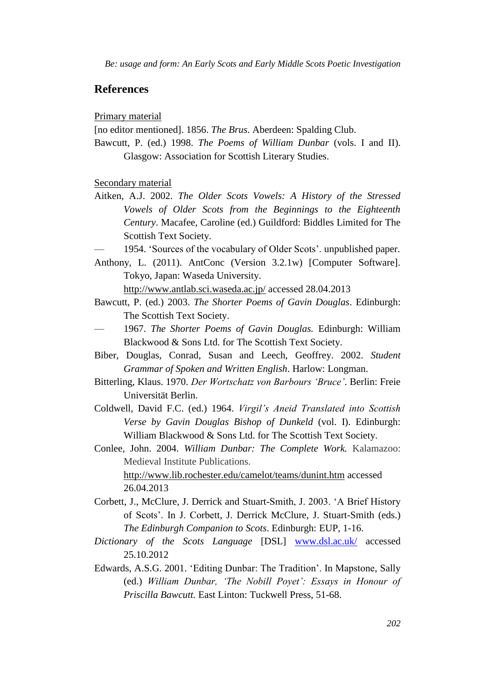## **References**

Primary material

[no editor mentioned]. 1856. *The Brus.* Aberdeen: Spalding Club.

Bawcutt, P. (ed.) 1998. *The Poems of William Dunbar* (vols. I and II). Glasgow: Association for Scottish Literary Studies.

Secondary material

- Aitken, A.J. 2002. *The Older Scots Vowels: A History of the Stressed Vowels of Older Scots from the Beginnings to the Eighteenth Century*. Macafee, Caroline (ed.) Guildford: Biddles Limited for The Scottish Text Society.
- 1954. 'Sources of the vocabulary of Older Scots'. unpublished paper.
- Anthony, L. (2011). AntConc (Version 3.2.1w) [Computer Software]. Tokyo, Japan: Waseda University.

<http://www.antlab.sci.waseda.ac.jp/> accessed 28.04.2013

- Bawcutt, P. (ed.) 2003. *The Shorter Poems of Gavin Douglas*. Edinburgh: The Scottish Text Society.
- 1967. *The Shorter Poems of Gavin Douglas.* Edinburgh: William Blackwood & Sons Ltd. for The Scottish Text Society.
- Biber, Douglas, Conrad, Susan and Leech, Geoffrey. 2002. *Student Grammar of Spoken and Written English*. Harlow: Longman.
- Bitterling, Klaus. 1970. *Der Wortschatz von Barbours 'Bruce'*. Berlin: Freie Universität Berlin.
- Coldwell, David F.C. (ed.) 1964. *Virgil's Aneid Translated into Scottish Verse by Gavin Douglas Bishop of Dunkeld* (vol. I). Edinburgh: William Blackwood & Sons Ltd. for The Scottish Text Society.
- Conlee, John. 2004. *William Dunbar: The Complete Work.* Kalamazoo: Medieval Institute Publications. <http://www.lib.rochester.edu/camelot/teams/dunint.htm> accessed
	- 26.04.2013
- Corbett, J., McClure, J. Derrick and Stuart-Smith, J. 2003. 'A Brief History of Scots'. In J. Corbett, J. Derrick McClure, J. Stuart-Smith (eds.) *The Edinburgh Companion to Scots*. Edinburgh: EUP, 1-16.
- *Dictionary of the Scots Language* [DSL] [www.dsl.ac.uk/](http://www.dsl.ac.uk/) accessed 25.10.2012
- Edwards, A.S.G. 2001. 'Editing Dunbar: The Tradition'. In Mapstone, Sally (ed.) *William Dunbar, 'The Nobill Poyet': Essays in Honour of Priscilla Bawcutt.* East Linton: Tuckwell Press, 51-68.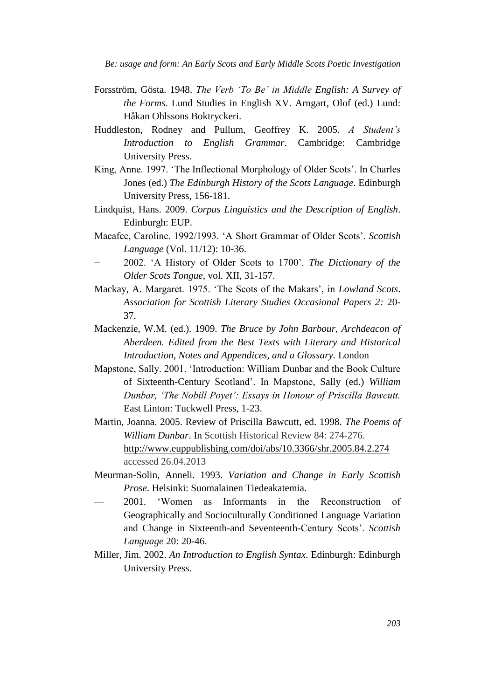- Forsström, Gösta. 1948. *The Verb 'To Be' in Middle English: A Survey of the Forms*. Lund Studies in English XV. Arngart, Olof (ed.) Lund: Håkan Ohlssons Boktryckeri.
- Huddleston, Rodney and Pullum, Geoffrey K. 2005. *A Student's Introduction to English Grammar*. Cambridge: Cambridge University Press.
- King, Anne. 1997. 'The Inflectional Morphology of Older Scots'. In Charles Jones (ed.) *The Edinburgh History of the Scots Language*. Edinburgh University Press, 156-181.
- Lindquist, Hans. 2009. *Corpus Linguistics and the Description of English*. Edinburgh: EUP.
- Macafee, Caroline. 1992/1993. 'A Short Grammar of Older Scots'. *Scottish Language* (Vol. 11/12): 10-36.
- − 2002. 'A History of Older Scots to 1700'. *The Dictionary of the Older Scots Tongue*, vol. XII, 31-157.
- Mackay, A. Margaret. 1975. 'The Scots of the Makars', in *Lowland Scots*. *Association for Scottish Literary Studies Occasional Papers 2:* 20- 37.
- Mackenzie, W.M. (ed.). 1909. *The Bruce by John Barbour, Archdeacon of Aberdeen. Edited from the Best Texts with Literary and Historical Introduction, Notes and Appendices, and a Glossary.* London
- Mapstone, Sally. 2001. 'Introduction: William Dunbar and the Book Culture of Sixteenth-Century Scotland'. In Mapstone, Sally (ed.) *William Dunbar, 'The Nobill Poyet': Essays in Honour of Priscilla Bawcutt.* East Linton: Tuckwell Press, 1-23.
- Martin, Joanna. 2005. Review of Priscilla Bawcutt, ed. 1998. *The Poems of William Dunbar*. In Scottish Historical Review 84: 274-276. <http://www.euppublishing.com/doi/abs/10.3366/shr.2005.84.2.274> accessed 26.04.2013
- Meurman-Solin, Anneli. 1993. *Variation and Change in Early Scottish Prose*. Helsinki: Suomalainen Tiedeakatemia.
- 2001. 'Women as Informants in the Reconstruction of Geographically and Socioculturally Conditioned Language Variation and Change in Sixteenth-and Seventeenth-Century Scots'. *Scottish Language* 20: 20-46.
- Miller, Jim. 2002. *An Introduction to English Syntax*. Edinburgh: Edinburgh University Press.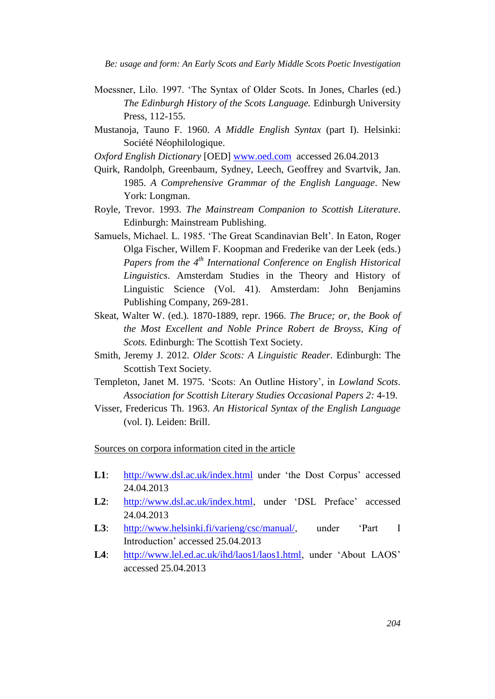- Moessner, Lilo. 1997. 'The Syntax of Older Scots. In Jones, Charles (ed.) *The Edinburgh History of the Scots Language.* Edinburgh University Press, 112-155.
- Mustanoja, Tauno F. 1960. *A Middle English Syntax* (part I). Helsinki: Société Néophilologique.
- *Oxford English Dictionary* [OED] [www.oed.com](http://www.oed.com/) accessed 26.04.2013
- Quirk, Randolph, Greenbaum, Sydney, Leech, Geoffrey and Svartvik, Jan. 1985. *A Comprehensive Grammar of the English Language*. New York: Longman.
- Royle, Trevor. 1993. *The Mainstream Companion to Scottish Literature*. Edinburgh: Mainstream Publishing.
- Samuels, Michael. L. 1985. 'The Great Scandinavian Belt'. In Eaton, Roger Olga Fischer, Willem F. Koopman and Frederike van der Leek (eds.) *Papers from the 4th International Conference on English Historical Linguistics*. Amsterdam Studies in the Theory and History of Linguistic Science (Vol. 41). Amsterdam: John Benjamins Publishing Company, 269-281.
- Skeat, Walter W. (ed.). 1870-1889, repr. 1966. *The Bruce; or, the Book of the Most Excellent and Noble Prince Robert de Broyss, King of Scots.* Edinburgh: The Scottish Text Society.
- Smith, Jeremy J. 2012. *Older Scots: A Linguistic Reader*. Edinburgh: The Scottish Text Society.
- Templeton, Janet M. 1975. 'Scots: An Outline History', in *Lowland Scots*. *Association for Scottish Literary Studies Occasional Papers 2:* 4-19.
- Visser, Fredericus Th. 1963. *An Historical Syntax of the English Language* (vol. I). Leiden: Brill.

Sources on corpora information cited in the article

- L1: <http://www.dsl.ac.uk/index.html> under 'the Dost Corpus' accessed 24.04.2013
- **L2**: [http://www.dsl.ac.uk/index.html,](http://www.dsl.ac.uk/index.html) under 'DSL Preface' accessed 24.04.2013
- **L3**: [http://www.helsinki.fi/varieng/csc/manual/,](http://www.helsinki.fi/varieng/csc/manual/) under 'Part I Introduction' accessed 25.04.2013
- **L4**: [http://www.lel.ed.ac.uk/ihd/laos1/laos1.html,](http://www.lel.ed.ac.uk/ihd/laos1/laos1.html) under 'About LAOS' accessed 25.04.2013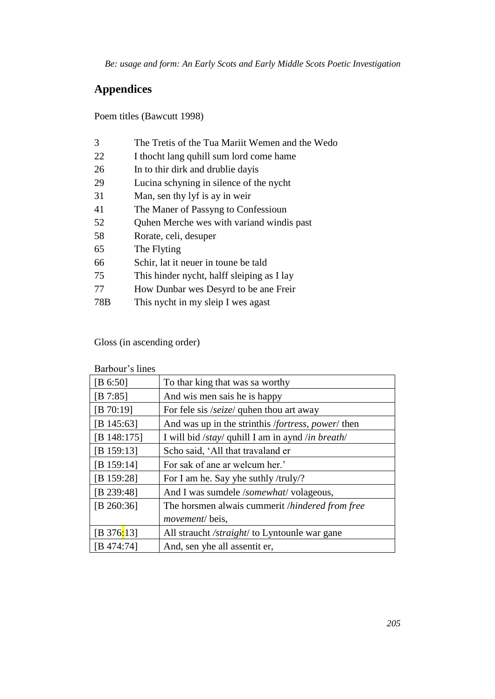# **Appendices**

Poem titles (Bawcutt 1998)

| 3   | The Tretis of the Tua Mariit Wemen and the Wedo |
|-----|-------------------------------------------------|
| 22  | I thocht lang quhill sum lord come hame         |
| 26  | In to thir dirk and drublie day is              |
| 29  | Lucina schyning in silence of the nycht         |
| 31  | Man, sen thy lyf is ay in weir                  |
| 41  | The Maner of Passyng to Confessioun             |
| 52  | Quhen Merche wes with variand windis past       |
| 58  | Rorate, celi, desuper                           |
| 65  | The Flyting                                     |
| 66  | Schir, lat it neuer in toune be tald            |
| 75  | This hinder nycht, halff sleiping as I lay      |
| 77  | How Dunbar wes Desyrd to be ane Freir           |
| 78B | This nycht in my sleip I wes agast              |
|     |                                                 |

Gloss (in ascending order)

Barbour's lines

| [B 6:50]       | To thar king that was sa worthy                    |  |
|----------------|----------------------------------------------------|--|
| [B 7:85]       | And wis men sais he is happy                       |  |
| [B 70:19]      | For fele sis /seize/ quhen thou art away           |  |
| [B $145:63$ ]  | And was up in the strinthis /fortress, power/ then |  |
| [B $148:175$ ] | I will bid /stay/ quhill I am in aynd /in breath/  |  |
| [B 159:13]     | Scho said, 'All that travaland er                  |  |
| [B $159:14$ ]  | For sak of ane ar welcum her.'                     |  |
| [B 159:28]     | For I am he. Say yhe suthly /truly/?               |  |
| [B 239:48]     | And I was sumdele /somewhat/ volageous,            |  |
| [B $260:36$ ]  | The horsmen alwais cummerit /hindered from free    |  |
|                | <i>movement</i> /beis,                             |  |
| [B 376:13]     | All straucht /straight/ to Lyntounle war gane      |  |
| [B 474:74]     | And, sen yhe all assentit er,                      |  |